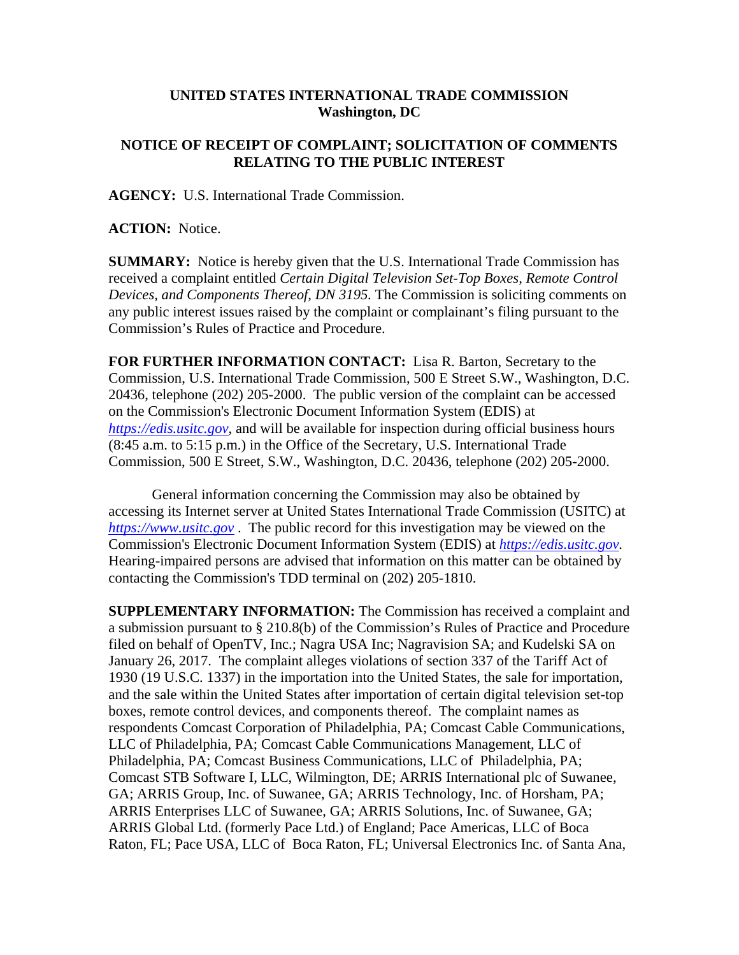## **UNITED STATES INTERNATIONAL TRADE COMMISSION Washington, DC**

## **NOTICE OF RECEIPT OF COMPLAINT; SOLICITATION OF COMMENTS RELATING TO THE PUBLIC INTEREST**

**AGENCY:** U.S. International Trade Commission.

**ACTION:** Notice.

**SUMMARY:** Notice is hereby given that the U.S. International Trade Commission has received a complaint entitled *Certain Digital Television Set-Top Boxes, Remote Control Devices, and Components Thereof, DN 3195.* The Commission is soliciting comments on any public interest issues raised by the complaint or complainant's filing pursuant to the Commission's Rules of Practice and Procedure.

**FOR FURTHER INFORMATION CONTACT:** Lisa R. Barton, Secretary to the Commission, U.S. International Trade Commission, 500 E Street S.W., Washington, D.C. 20436, telephone (202) 205-2000. The public version of the complaint can be accessed on the Commission's Electronic Document Information System (EDIS) at *https://edis.usitc.gov*, and will be available for inspection during official business hours (8:45 a.m. to 5:15 p.m.) in the Office of the Secretary, U.S. International Trade Commission, 500 E Street, S.W., Washington, D.C. 20436, telephone (202) 205-2000.

General information concerning the Commission may also be obtained by accessing its Internet server at United States International Trade Commission (USITC) at *https://www.usitc.gov* . The public record for this investigation may be viewed on the Commission's Electronic Document Information System (EDIS) at *https://edis.usitc.gov.* Hearing-impaired persons are advised that information on this matter can be obtained by contacting the Commission's TDD terminal on (202) 205-1810.

**SUPPLEMENTARY INFORMATION:** The Commission has received a complaint and a submission pursuant to § 210.8(b) of the Commission's Rules of Practice and Procedure filed on behalf of OpenTV, Inc.; Nagra USA Inc; Nagravision SA; and Kudelski SA on January 26, 2017. The complaint alleges violations of section 337 of the Tariff Act of 1930 (19 U.S.C. 1337) in the importation into the United States, the sale for importation, and the sale within the United States after importation of certain digital television set-top boxes, remote control devices, and components thereof. The complaint names as respondents Comcast Corporation of Philadelphia, PA; Comcast Cable Communications, LLC of Philadelphia, PA; Comcast Cable Communications Management, LLC of Philadelphia, PA; Comcast Business Communications, LLC of Philadelphia, PA; Comcast STB Software I, LLC, Wilmington, DE; ARRIS International plc of Suwanee, GA; ARRIS Group, Inc. of Suwanee, GA; ARRIS Technology, Inc. of Horsham, PA; ARRIS Enterprises LLC of Suwanee, GA; ARRIS Solutions, Inc. of Suwanee, GA; ARRIS Global Ltd. (formerly Pace Ltd.) of England; Pace Americas, LLC of Boca Raton, FL; Pace USA, LLC of Boca Raton, FL; Universal Electronics Inc. of Santa Ana,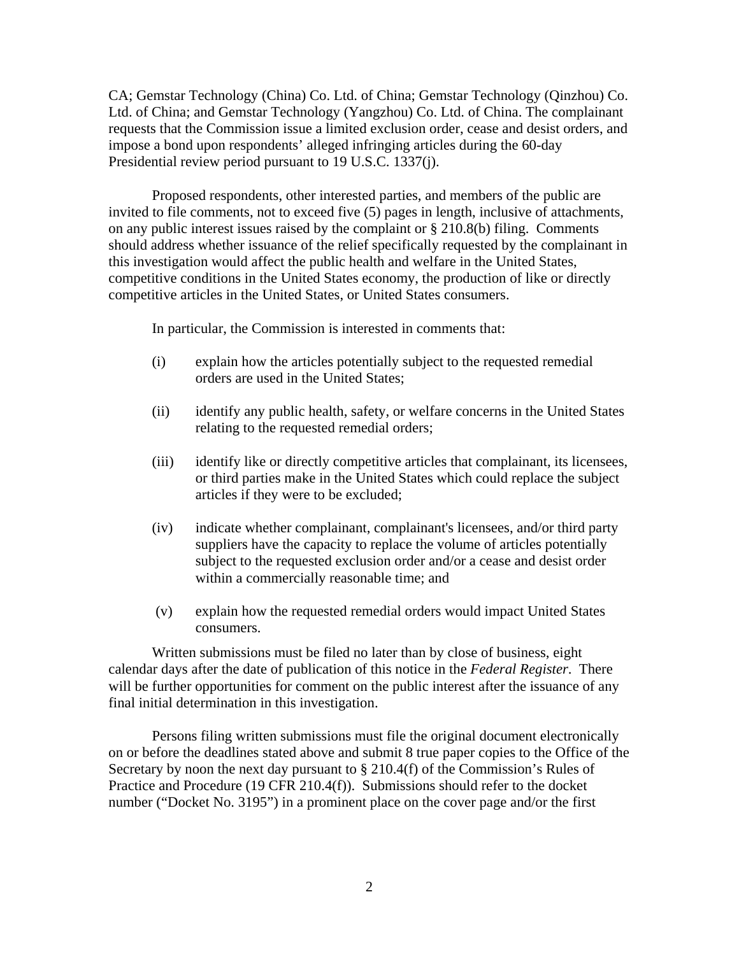CA; Gemstar Technology (China) Co. Ltd. of China; Gemstar Technology (Qinzhou) Co. Ltd. of China; and Gemstar Technology (Yangzhou) Co. Ltd. of China. The complainant requests that the Commission issue a limited exclusion order, cease and desist orders, and impose a bond upon respondents' alleged infringing articles during the 60-day Presidential review period pursuant to 19 U.S.C. 1337(j).

Proposed respondents, other interested parties, and members of the public are invited to file comments, not to exceed five (5) pages in length, inclusive of attachments, on any public interest issues raised by the complaint or § 210.8(b) filing. Comments should address whether issuance of the relief specifically requested by the complainant in this investigation would affect the public health and welfare in the United States, competitive conditions in the United States economy, the production of like or directly competitive articles in the United States, or United States consumers.

In particular, the Commission is interested in comments that:

- (i) explain how the articles potentially subject to the requested remedial orders are used in the United States;
- (ii) identify any public health, safety, or welfare concerns in the United States relating to the requested remedial orders;
- (iii) identify like or directly competitive articles that complainant, its licensees, or third parties make in the United States which could replace the subject articles if they were to be excluded;
- (iv) indicate whether complainant, complainant's licensees, and/or third party suppliers have the capacity to replace the volume of articles potentially subject to the requested exclusion order and/or a cease and desist order within a commercially reasonable time; and
- (v) explain how the requested remedial orders would impact United States consumers.

Written submissions must be filed no later than by close of business, eight calendar days after the date of publication of this notice in the *Federal Register*. There will be further opportunities for comment on the public interest after the issuance of any final initial determination in this investigation.

Persons filing written submissions must file the original document electronically on or before the deadlines stated above and submit 8 true paper copies to the Office of the Secretary by noon the next day pursuant to  $\S 210.4(f)$  of the Commission's Rules of Practice and Procedure (19 CFR 210.4(f)). Submissions should refer to the docket number ("Docket No. 3195") in a prominent place on the cover page and/or the first